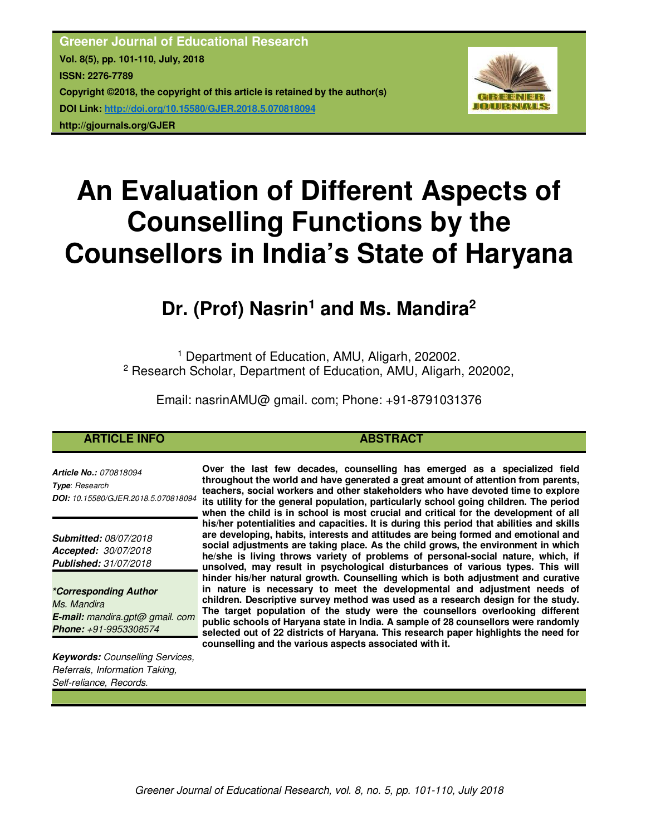**Greener Journal of Educational Research Vol. 8(5), pp. 101-110, July, 2018 ISSN: 2276-7789 Copyright ©2018, the copyright of this article is retained by the author(s) DOI Link: http://doi.org/10.15580/GJER.2018.5.070818094 http://gjournals.org/GJER**



# **An Evaluation of Different Aspects of Counselling Functions by the Counsellors in India's State of Haryana**

## **Dr. (Prof) Nasrin<sup>1</sup> and Ms. Mandira<sup>2</sup>**

<sup>1</sup> Department of Education, AMU, Aligarh, 202002. <sup>2</sup> Research Scholar, Department of Education, AMU, Aligarh, 202002,

Email: nasrinAMU@ gmail. com; Phone: +91-8791031376

### **ARTICLE INFO ABSTRACT**

*Article No.: 070818094 Type*: *Research DOI: 10.15580/GJER.2018.5.070818094*

*Submitted: 08/07/2018 Accepted: 30/07/2018 Published: 31/07/2018*

*\*Corresponding Author Ms. Mandira E-mail: mandira.gpt@ gmail. com Phone: +91-9953308574*

*Keywords: Counselling Services, Referrals, Information Taking, Self-reliance, Records.*

**Over the last few decades, counselling has emerged as a specialized field throughout the world and have generated a great amount of attention from parents, teachers, social workers and other stakeholders who have devoted time to explore its utility for the general population, particularly school going children. The period when the child is in school is most crucial and critical for the development of all his/her potentialities and capacities. It is during this period that abilities and skills are developing, habits, interests and attitudes are being formed and emotional and social adjustments are taking place. As the child grows, the environment in which he/she is living throws variety of problems of personal-social nature, which, if unsolved, may result in psychological disturbances of various types. This will hinder his/her natural growth. Counselling which is both adjustment and curative in nature is necessary to meet the developmental and adjustment needs of children. Descriptive survey method was used as a research design for the study. The target population of the study were the counsellors overlooking different public schools of Haryana state in India. A sample of 28 counsellors were randomly selected out of 22 districts of Haryana. This research paper highlights the need for counselling and the various aspects associated with it.**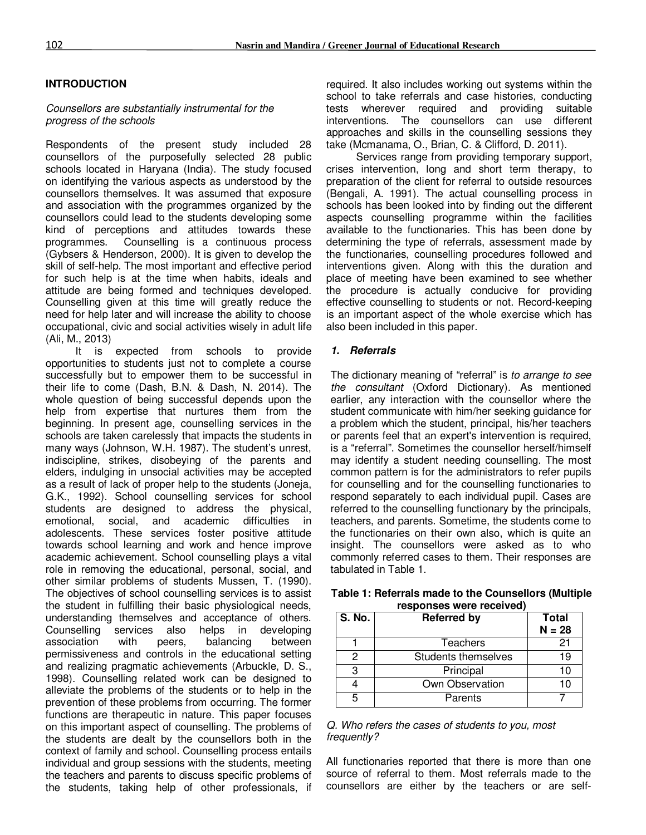#### **INTRODUCTION**

#### *Counsellors are substantially instrumental for the progress of the schools*

Respondents of the present study included 28 counsellors of the purposefully selected 28 public schools located in Haryana (India). The study focused on identifying the various aspects as understood by the counsellors themselves. It was assumed that exposure and association with the programmes organized by the counsellors could lead to the students developing some kind of perceptions and attitudes towards these programmes. Counselling is a continuous process (Gybsers & Henderson, 2000). It is given to develop the skill of self-help. The most important and effective period for such help is at the time when habits, ideals and attitude are being formed and techniques developed. Counselling given at this time will greatly reduce the need for help later and will increase the ability to choose occupational, civic and social activities wisely in adult life (Ali, M., 2013)

It is expected from schools to provide opportunities to students just not to complete a course successfully but to empower them to be successful in their life to come (Dash, B.N. & Dash, N. 2014). The whole question of being successful depends upon the help from expertise that nurtures them from the beginning. In present age, counselling services in the schools are taken carelessly that impacts the students in many ways (Johnson, W.H. 1987). The student's unrest, indiscipline, strikes, disobeying of the parents and elders, indulging in unsocial activities may be accepted as a result of lack of proper help to the students (Joneja, G.K., 1992). School counselling services for school students are designed to address the physical, emotional, social, and academic difficulties in adolescents. These services foster positive attitude towards school learning and work and hence improve academic achievement. School counselling plays a vital role in removing the educational, personal, social, and other similar problems of students Mussen, T. (1990). The objectives of school counselling services is to assist the student in fulfilling their basic physiological needs, understanding themselves and acceptance of others. Counselling services also helps in developing association with peers, balancing between permissiveness and controls in the educational setting and realizing pragmatic achievements (Arbuckle, D. S., 1998). Counselling related work can be designed to alleviate the problems of the students or to help in the prevention of these problems from occurring. The former functions are therapeutic in nature. This paper focuses on this important aspect of counselling. The problems of the students are dealt by the counsellors both in the context of family and school. Counselling process entails individual and group sessions with the students, meeting the teachers and parents to discuss specific problems of the students, taking help of other professionals, if

required. It also includes working out systems within the school to take referrals and case histories, conducting tests wherever required and providing suitable interventions. The counsellors can use different approaches and skills in the counselling sessions they take (Mcmanama, O., Brian, C. & Clifford, D. 2011).

Services range from providing temporary support, crises intervention, long and short term therapy, to preparation of the client for referral to outside resources (Bengali, A. 1991). The actual counselling process in schools has been looked into by finding out the different aspects counselling programme within the facilities available to the functionaries. This has been done by determining the type of referrals, assessment made by the functionaries, counselling procedures followed and interventions given. Along with this the duration and place of meeting have been examined to see whether the procedure is actually conducive for providing effective counselling to students or not. Record-keeping is an important aspect of the whole exercise which has also been included in this paper.

#### *1. Referrals*

The dictionary meaning of "referral" is *to arrange to see the consultant* (Oxford Dictionary)*.* As mentioned earlier, any interaction with the counsellor where the student communicate with him/her seeking guidance for a problem which the student, principal, his/her teachers or parents feel that an expert's intervention is required, is a "referral". Sometimes the counsellor herself/himself may identify a student needing counselling. The most common pattern is for the administrators to refer pupils for counselling and for the counselling functionaries to respond separately to each individual pupil. Cases are referred to the counselling functionary by the principals, teachers, and parents. Sometime, the students come to the functionaries on their own also, which is quite an insight. The counsellors were asked as to who commonly referred cases to them. Their responses are tabulated in Table 1.

| <b>S. No.</b> | <b>Referred by</b>  | <b>Total</b><br>$N = 28$ |
|---------------|---------------------|--------------------------|
|               | Teachers            | 21                       |
| 2             | Students themselves | 19                       |
| З             | Principal           | 10                       |
|               | Own Observation     | 10                       |
| 5             | Parents             |                          |

**Table 1: Referrals made to the Counsellors (Multiple responses were received)** 

#### *Q. Who refers the cases of students to you, most frequently?*

All functionaries reported that there is more than one source of referral to them. Most referrals made to the counsellors are either by the teachers or are self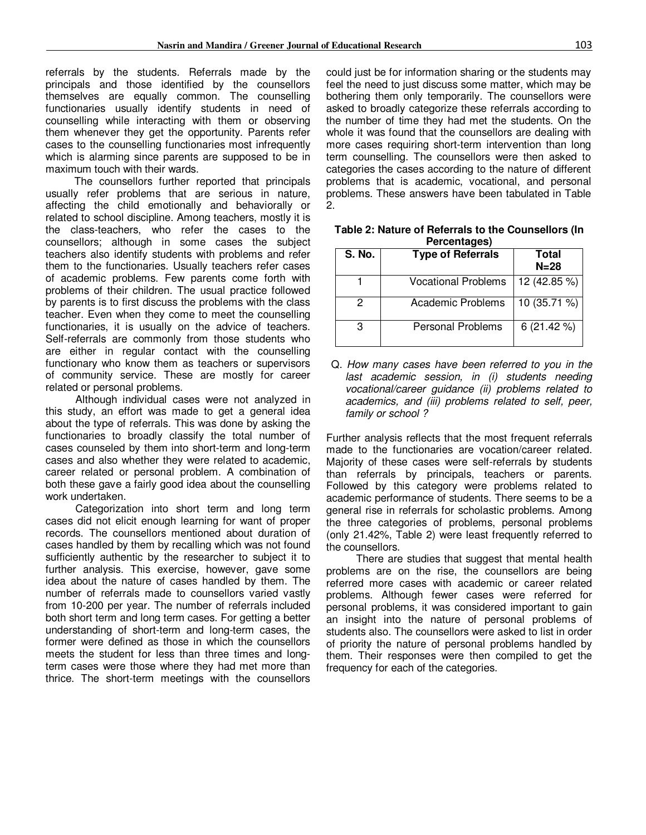referrals by the students. Referrals made by the principals and those identified by the counsellors themselves are equally common. The counselling functionaries usually identify students in need of counselling while interacting with them or observing them whenever they get the opportunity. Parents refer cases to the counselling functionaries most infrequently which is alarming since parents are supposed to be in maximum touch with their wards.

The counsellors further reported that principals usually refer problems that are serious in nature, affecting the child emotionally and behaviorally or related to school discipline. Among teachers, mostly it is the class-teachers, who refer the cases to the counsellors; although in some cases the subject teachers also identify students with problems and refer them to the functionaries. Usually teachers refer cases of academic problems. Few parents come forth with problems of their children. The usual practice followed by parents is to first discuss the problems with the class teacher. Even when they come to meet the counselling functionaries, it is usually on the advice of teachers. Self-referrals are commonly from those students who are either in regular contact with the counselling functionary who know them as teachers or supervisors of community service. These are mostly for career related or personal problems.

Although individual cases were not analyzed in this study, an effort was made to get a general idea about the type of referrals. This was done by asking the functionaries to broadly classify the total number of cases counseled by them into short-term and long-term cases and also whether they were related to academic, career related or personal problem. A combination of both these gave a fairly good idea about the counselling work undertaken.

Categorization into short term and long term cases did not elicit enough learning for want of proper records. The counsellors mentioned about duration of cases handled by them by recalling which was not found sufficiently authentic by the researcher to subject it to further analysis. This exercise, however, gave some idea about the nature of cases handled by them. The number of referrals made to counsellors varied vastly from 10-200 per year. The number of referrals included both short term and long term cases. For getting a better understanding of short-term and long-term cases, the former were defined as those in which the counsellors meets the student for less than three times and longterm cases were those where they had met more than thrice. The short-term meetings with the counsellors

could just be for information sharing or the students may feel the need to just discuss some matter, which may be bothering them only temporarily. The counsellors were asked to broadly categorize these referrals according to the number of time they had met the students. On the whole it was found that the counsellors are dealing with more cases requiring short-term intervention than long term counselling. The counsellors were then asked to categories the cases according to the nature of different problems that is academic, vocational, and personal problems. These answers have been tabulated in Table 2.

| <b>S. No.</b> | <b>Type of Referrals</b>   | Total<br>$N = 28$ |
|---------------|----------------------------|-------------------|
|               | <b>Vocational Problems</b> | 12 (42.85 %)      |
| 2             | <b>Academic Problems</b>   | 10 (35.71 %)      |
| 3             | <b>Personal Problems</b>   | 6(21.42%)         |

**Table 2: Nature of Referrals to the Counsellors (In Percentages)** 

Q. *How many cases have been referred to you in the last academic session, in (i) students needing vocational/career guidance (ii) problems related to academics, and (iii) problems related to self, peer, family or school ?* 

Further analysis reflects that the most frequent referrals made to the functionaries are vocation/career related. Majority of these cases were self-referrals by students than referrals by principals, teachers or parents. Followed by this category were problems related to academic performance of students. There seems to be a general rise in referrals for scholastic problems. Among the three categories of problems, personal problems (only 21.42%, Table 2) were least frequently referred to the counsellors.

There are studies that suggest that mental health problems are on the rise, the counsellors are being referred more cases with academic or career related problems. Although fewer cases were referred for personal problems, it was considered important to gain an insight into the nature of personal problems of students also. The counsellors were asked to list in order of priority the nature of personal problems handled by them. Their responses were then compiled to get the frequency for each of the categories.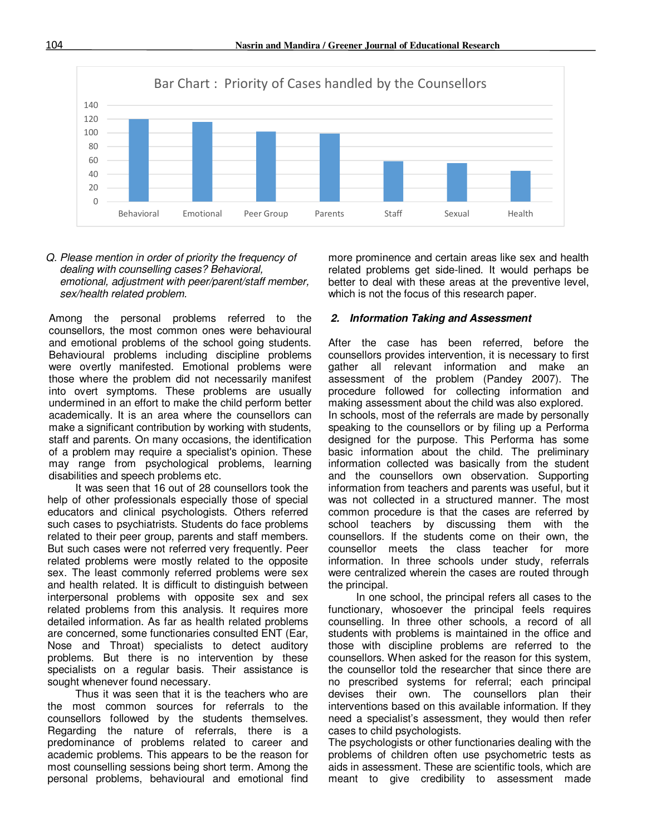

#### *Q. Please mention in order of priority the frequency of dealing with counselling cases? Behavioral, emotional, adjustment with peer/parent/staff member, sex/health related problem.*

Among the personal problems referred to the counsellors, the most common ones were behavioural and emotional problems of the school going students. Behavioural problems including discipline problems were overtly manifested. Emotional problems were those where the problem did not necessarily manifest into overt symptoms. These problems are usually undermined in an effort to make the child perform better academically. It is an area where the counsellors can make a significant contribution by working with students, staff and parents. On many occasions, the identification of a problem may require a specialist's opinion. These may range from psychological problems, learning disabilities and speech problems etc.

It was seen that 16 out of 28 counsellors took the help of other professionals especially those of special educators and clinical psychologists. Others referred such cases to psychiatrists. Students do face problems related to their peer group, parents and staff members. But such cases were not referred very frequently. Peer related problems were mostly related to the opposite sex. The least commonly referred problems were sex and health related. It is difficult to distinguish between interpersonal problems with opposite sex and sex related problems from this analysis. It requires more detailed information. As far as health related problems are concerned, some functionaries consulted ENT (Ear, Nose and Throat) specialists to detect auditory problems. But there is no intervention by these specialists on a regular basis. Their assistance is sought whenever found necessary.

Thus it was seen that it is the teachers who are the most common sources for referrals to the counsellors followed by the students themselves. Regarding the nature of referrals, there is a predominance of problems related to career and academic problems. This appears to be the reason for most counselling sessions being short term. Among the personal problems, behavioural and emotional find

more prominence and certain areas like sex and health related problems get side-lined. It would perhaps be better to deal with these areas at the preventive level, which is not the focus of this research paper.

#### *2. Information Taking and Assessment*

After the case has been referred, before the counsellors provides intervention, it is necessary to first gather all relevant information and make an assessment of the problem (Pandey 2007). The procedure followed for collecting information and making assessment about the child was also explored. In schools, most of the referrals are made by personally speaking to the counsellors or by filing up a Performa designed for the purpose. This Performa has some basic information about the child. The preliminary information collected was basically from the student and the counsellors own observation. Supporting information from teachers and parents was useful, but it was not collected in a structured manner. The most common procedure is that the cases are referred by school teachers by discussing them with the counsellors. If the students come on their own, the counsellor meets the class teacher for more information. In three schools under study, referrals were centralized wherein the cases are routed through the principal.

In one school, the principal refers all cases to the functionary, whosoever the principal feels requires counselling. In three other schools, a record of all students with problems is maintained in the office and those with discipline problems are referred to the counsellors. When asked for the reason for this system, the counsellor told the researcher that since there are no prescribed systems for referral; each principal devises their own. The counsellors plan their interventions based on this available information. If they need a specialist's assessment, they would then refer cases to child psychologists.

The psychologists or other functionaries dealing with the problems of children often use psychometric tests as aids in assessment. These are scientific tools, which are meant to give credibility to assessment made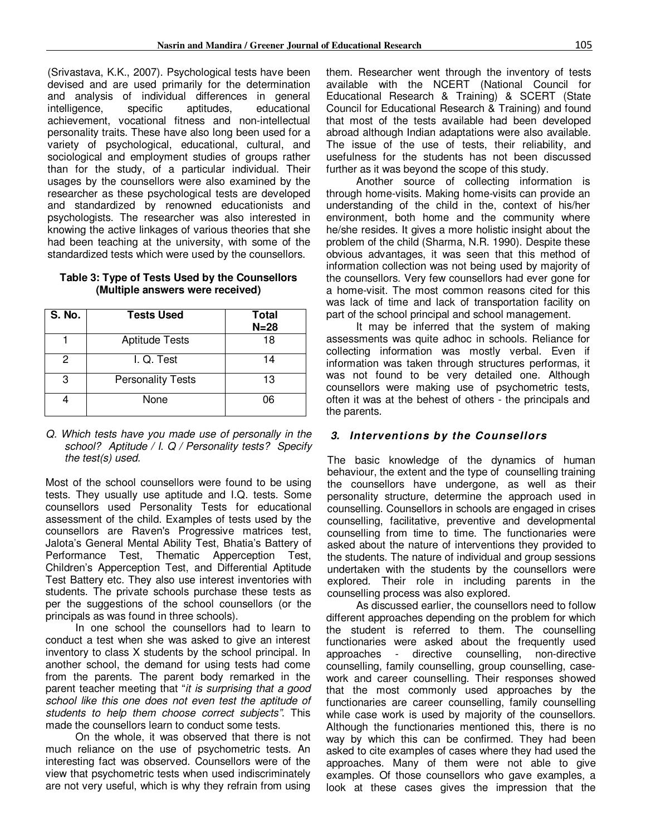(Srivastava, K.K., 2007). Psychological tests have been devised and are used primarily for the determination and analysis of individual differences in general intelligence, specific aptitudes, educational achievement, vocational fitness and non-intellectual personality traits. These have also long been used for a variety of psychological, educational, cultural, and sociological and employment studies of groups rather than for the study, of a particular individual. Their usages by the counsellors were also examined by the researcher as these psychological tests are developed and standardized by renowned educationists and psychologists. The researcher was also interested in knowing the active linkages of various theories that she had been teaching at the university, with some of the standardized tests which were used by the counsellors.

| Table 3: Type of Tests Used by the Counsellors |
|------------------------------------------------|
| (Multiple answers were received)               |

| S. No. | <b>Tests Used</b>        | <b>Total</b><br>$N=28$ |
|--------|--------------------------|------------------------|
|        | <b>Aptitude Tests</b>    | 18                     |
| 2      | I. Q. Test               | 14                     |
| 3      | <b>Personality Tests</b> | 13                     |
|        | None                     | 06                     |

#### *Q. Which tests have you made use of personally in the school? Aptitude / I. Q / Personality tests? Specify the test(s) used.*

Most of the school counsellors were found to be using tests. They usually use aptitude and I.Q. tests. Some counsellors used Personality Tests for educational assessment of the child. Examples of tests used by the counsellors are Raven's Progressive matrices test, Jalota's General Mental Ability Test, Bhatia's Battery of Performance Test, Thematic Apperception Test, Children's Apperception Test, and Differential Aptitude Test Battery etc. They also use interest inventories with students. The private schools purchase these tests as per the suggestions of the school counsellors (or the principals as was found in three schools).

In one school the counsellors had to learn to conduct a test when she was asked to give an interest inventory to class X students by the school principal. In another school, the demand for using tests had come from the parents. The parent body remarked in the parent teacher meeting that "*it is surprising that a good school like this one does not even test the aptitude of students to help them choose correct subjects"*. This made the counsellors learn to conduct some tests.

On the whole, it was observed that there is not much reliance on the use of psychometric tests. An interesting fact was observed. Counsellors were of the view that psychometric tests when used indiscriminately are not very useful, which is why they refrain from using

them. Researcher went through the inventory of tests available with the NCERT (National Council for Educational Research & Training) & SCERT (State Council for Educational Research & Training) and found that most of the tests available had been developed abroad although Indian adaptations were also available. The issue of the use of tests, their reliability, and usefulness for the students has not been discussed further as it was beyond the scope of this study.

Another source of collecting information is through home-visits. Making home-visits can provide an understanding of the child in the, context of his/her environment, both home and the community where he/she resides. It gives a more holistic insight about the problem of the child (Sharma, N.R. 1990). Despite these obvious advantages, it was seen that this method of information collection was not being used by majority of the counsellors. Very few counsellors had ever gone for a home-visit. The most common reasons cited for this was lack of time and lack of transportation facility on part of the school principal and school management.

It may be inferred that the system of making assessments was quite adhoc in schools. Reliance for collecting information was mostly verbal. Even if information was taken through structures performas, it was not found to be very detailed one. Although counsellors were making use of psychometric tests, often it was at the behest of others - the principals and the parents.

#### *3. Interventions by the Counsellors*

The basic knowledge of the dynamics of human behaviour, the extent and the type of counselling training the counsellors have undergone, as well as their personality structure, determine the approach used in counselling. Counsellors in schools are engaged in crises counselling, facilitative, preventive and developmental counselling from time to time. The functionaries were asked about the nature of interventions they provided to the students. The nature of individual and group sessions undertaken with the students by the counsellors were explored. Their role in including parents in the counselling process was also explored.

As discussed earlier, the counsellors need to follow different approaches depending on the problem for which the student is referred to them. The counselling functionaries were asked about the frequently used approaches - directive counselling, non-directive counselling, family counselling, group counselling, casework and career counselling. Their responses showed that the most commonly used approaches by the functionaries are career counselling, family counselling while case work is used by majority of the counsellors. Although the functionaries mentioned this, there is no way by which this can be confirmed. They had been asked to cite examples of cases where they had used the approaches. Many of them were not able to give examples. Of those counsellors who gave examples, a look at these cases gives the impression that the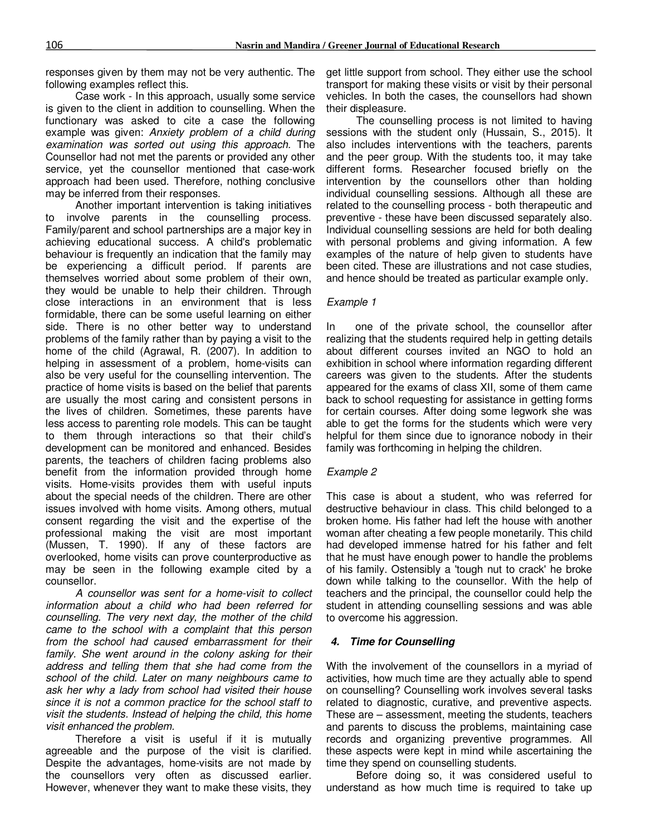responses given by them may not be very authentic. The following examples reflect this.

Case work - In this approach, usually some service is given to the client in addition to counselling. When the functionary was asked to cite a case the following example was given: *Anxiety problem of a child during examination was sorted out using this approach.* The Counsellor had not met the parents or provided any other service, yet the counsellor mentioned that case-work approach had been used. Therefore, nothing conclusive may be inferred from their responses.

Another important intervention is taking initiatives to involve parents in the counselling process. Family/parent and school partnerships are a major key in achieving educational success. A child's problematic behaviour is frequently an indication that the family may be experiencing a difficult period. If parents are themselves worried about some problem of their own, they would be unable to help their children. Through close interactions in an environment that is less formidable, there can be some useful learning on either side. There is no other better way to understand problems of the family rather than by paying a visit to the home of the child (Agrawal, R. (2007). In addition to helping in assessment of a problem, home-visits can also be very useful for the counselling intervention. The practice of home visits is based on the belief that parents are usually the most caring and consistent persons in the lives of children. Sometimes, these parents have less access to parenting role models. This can be taught to them through interactions so that their child's development can be monitored and enhanced. Besides parents, the teachers of children facing problems also benefit from the information provided through home visits. Home-visits provides them with useful inputs about the special needs of the children. There are other issues involved with home visits. Among others, mutual consent regarding the visit and the expertise of the professional making the visit are most important (Mussen, T. 1990). If any of these factors are overlooked, home visits can prove counterproductive as may be seen in the following example cited by a counsellor.

*A counsellor was sent for a home-visit to collect information about a child who had been referred for counselling. The very next day, the mother of the child came to the school with a complaint that this person from the school had caused embarrassment for their*  family. She went around in the colony asking for their *address and telling them that she had come from the school of the child. Later on many neighbours came to ask her why a lady from school had visited their house since it is not a common practice for the school staff to visit the students. Instead of helping the child, this home visit enhanced the problem.* 

Therefore a visit is useful if it is mutually agreeable and the purpose of the visit is clarified. Despite the advantages, home-visits are not made by the counsellors very often as discussed earlier. However, whenever they want to make these visits, they get little support from school. They either use the school transport for making these visits or visit by their personal vehicles. In both the cases, the counsellors had shown their displeasure.

The counselling process is not limited to having sessions with the student only (Hussain, S., 2015). It also includes interventions with the teachers, parents and the peer group. With the students too, it may take different forms. Researcher focused briefly on the intervention by the counsellors other than holding individual counselling sessions. Although all these are related to the counselling process - both therapeutic and preventive - these have been discussed separately also. Individual counselling sessions are held for both dealing with personal problems and giving information. A few examples of the nature of help given to students have been cited. These are illustrations and not case studies, and hence should be treated as particular example only.

#### *Example 1*

In one of the private school, the counsellor after realizing that the students required help in getting details about different courses invited an NGO to hold an exhibition in school where information regarding different careers was given to the students. After the students appeared for the exams of class XII, some of them came back to school requesting for assistance in getting forms for certain courses. After doing some legwork she was able to get the forms for the students which were very helpful for them since due to ignorance nobody in their family was forthcoming in helping the children.

#### *Example 2*

This case is about a student, who was referred for destructive behaviour in class. This child belonged to a broken home. His father had left the house with another woman after cheating a few people monetarily. This child had developed immense hatred for his father and felt that he must have enough power to handle the problems of his family. Ostensibly a 'tough nut to crack' he broke down while talking to the counsellor. With the help of teachers and the principal, the counsellor could help the student in attending counselling sessions and was able to overcome his aggression.

#### *4. Time for Counselling*

With the involvement of the counsellors in a myriad of activities, how much time are they actually able to spend on counselling? Counselling work involves several tasks related to diagnostic, curative, and preventive aspects. These are – assessment, meeting the students, teachers and parents to discuss the problems, maintaining case records and organizing preventive programmes. All these aspects were kept in mind while ascertaining the time they spend on counselling students.

Before doing so, it was considered useful to understand as how much time is required to take up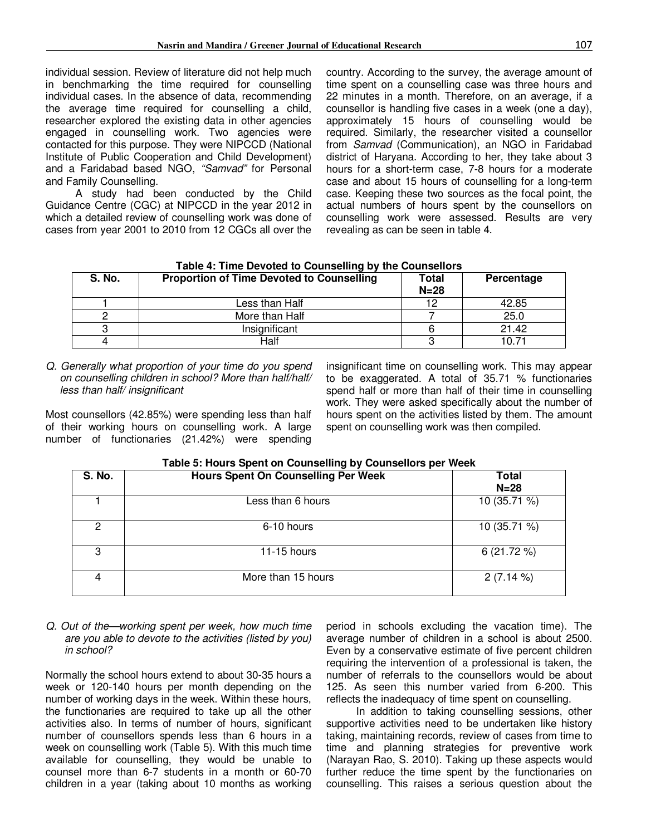individual session. Review of literature did not help much in benchmarking the time required for counselling individual cases. In the absence of data, recommending the average time required for counselling a child, researcher explored the existing data in other agencies engaged in counselling work. Two agencies were contacted for this purpose. They were NIPCCD (National Institute of Public Cooperation and Child Development) and a Faridabad based NGO, *"Samvad"* for Personal and Family Counselling.

A study had been conducted by the Child Guidance Centre (CGC) at NIPCCD in the year 2012 in which a detailed review of counselling work was done of cases from year 2001 to 2010 from 12 CGCs all over the country. According to the survey, the average amount of time spent on a counselling case was three hours and 22 minutes in a month. Therefore, on an average, if a counsellor is handling five cases in a week (one a day), approximately 15 hours of counselling would be required. Similarly, the researcher visited a counsellor from *Samvad* (Communication), an NGO in Faridabad district of Haryana. According to her, they take about 3 hours for a short-term case, 7-8 hours for a moderate case and about 15 hours of counselling for a long-term case. Keeping these two sources as the focal point, the actual numbers of hours spent by the counsellors on counselling work were assessed. Results are very revealing as can be seen in table 4.

| S. No. | <b>Proportion of Time Devoted to Counselling</b> | Total<br>$N=28$ | Percentage |
|--------|--------------------------------------------------|-----------------|------------|
|        | Less than Half                                   | 12              | 42.85      |
|        | More than Half                                   |                 | 25.0       |
| ≏      | Insignificant                                    |                 | 21.42      |
|        | Half                                             |                 | 10.71      |

#### **Table 4: Time Devoted to Counselling by the Counsellors**

*Q. Generally what proportion of your time do you spend on counselling children in school? More than half/half/ less than half/ insignificant*

Most counsellors (42.85%) were spending less than half of their working hours on counselling work. A large number of functionaries (21.42%) were spending

insignificant time on counselling work. This may appear to be exaggerated. A total of 35.71 % functionaries spend half or more than half of their time in counselling work. They were asked specifically about the number of hours spent on the activities listed by them. The amount spent on counselling work was then compiled.

| <b>S. No.</b> | <b>Hours Spent On Counselling Per Week</b> | Total<br>$N=28$ |
|---------------|--------------------------------------------|-----------------|
|               | Less than 6 hours                          | 10 (35.71 %)    |
| 2             | 6-10 hours                                 | 10 (35.71 %)    |
| 3             | 11-15 hours                                | 6(21.72%)       |
| 4             | More than 15 hours                         | $2(7.14\%)$     |

#### *Q. Out of the—working spent per week, how much time are you able to devote to the activities (listed by you) in school?*

Normally the school hours extend to about 30-35 hours a week or 120-140 hours per month depending on the number of working days in the week. Within these hours, the functionaries are required to take up all the other activities also. In terms of number of hours, significant number of counsellors spends less than 6 hours in a week on counselling work (Table 5). With this much time available for counselling, they would be unable to counsel more than 6-7 students in a month or 60-70 children in a year (taking about 10 months as working

period in schools excluding the vacation time). The average number of children in a school is about 2500. Even by a conservative estimate of five percent children requiring the intervention of a professional is taken, the number of referrals to the counsellors would be about 125. As seen this number varied from 6-200. This reflects the inadequacy of time spent on counselling.

In addition to taking counselling sessions, other supportive activities need to be undertaken like history taking, maintaining records, review of cases from time to time and planning strategies for preventive work (Narayan Rao, S. 2010). Taking up these aspects would further reduce the time spent by the functionaries on counselling. This raises a serious question about the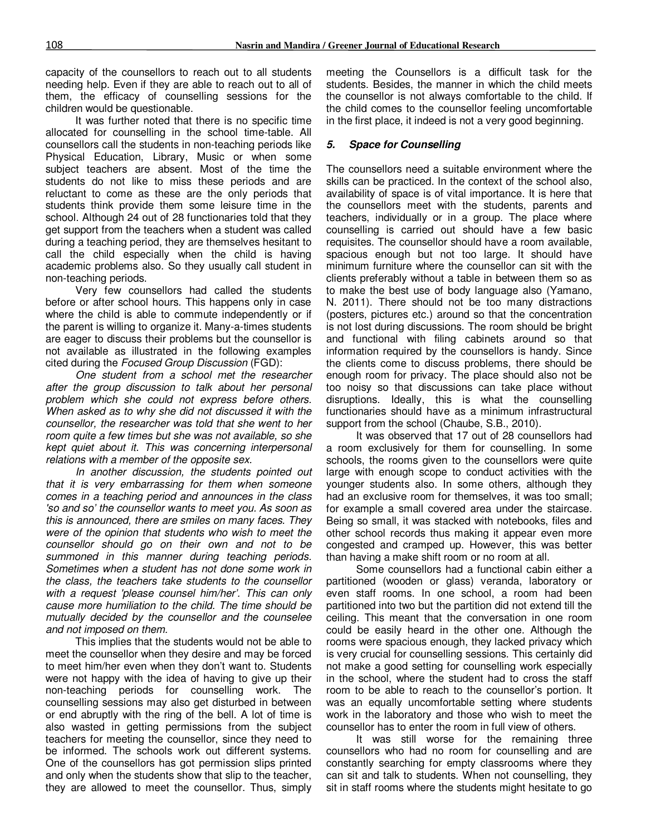capacity of the counsellors to reach out to all students needing help. Even if they are able to reach out to all of them, the efficacy of counselling sessions for the children would be questionable.

It was further noted that there is no specific time allocated for counselling in the school time-table. All counsellors call the students in non-teaching periods like Physical Education, Library, Music or when some subject teachers are absent. Most of the time the students do not like to miss these periods and are reluctant to come as these are the only periods that students think provide them some leisure time in the school. Although 24 out of 28 functionaries told that they get support from the teachers when a student was called during a teaching period, they are themselves hesitant to call the child especially when the child is having academic problems also. So they usually call student in non-teaching periods.

Very few counsellors had called the students before or after school hours. This happens only in case where the child is able to commute independently or if the parent is willing to organize it. Many-a-times students are eager to discuss their problems but the counsellor is not available as illustrated in the following examples cited during the *Focused Group Discussion* (FGD):

*One student from a school met the researcher after the group discussion to talk about her personal problem which she could not express before others. When asked as to why she did not discussed it with the counsellor, the researcher was told that she went to her room quite a few times but she was not available, so she kept quiet about it. This was concerning interpersonal relations with a member of the opposite sex.* 

*In another discussion, the students pointed out that it is very embarrassing for them when someone comes in a teaching period and announces in the class 'so and so' the counsellor wants to meet you. As soon as this is announced, there are smiles on many faces. They were of the opinion that students who wish to meet the counsellor should go on their own and not to be summoned in this manner during teaching periods. Sometimes when a student has not done some work in the class, the teachers take students to the counsellor with a request 'please counsel him/her'. This can only cause more humiliation to the child. The time should be mutually decided by the counsellor and the counselee and not imposed on them.* 

This implies that the students would not be able to meet the counsellor when they desire and may be forced to meet him/her even when they don't want to. Students were not happy with the idea of having to give up their non-teaching periods for counselling work. The counselling sessions may also get disturbed in between or end abruptly with the ring of the bell. A lot of time is also wasted in getting permissions from the subject teachers for meeting the counsellor, since they need to be informed. The schools work out different systems. One of the counsellors has got permission slips printed and only when the students show that slip to the teacher, they are allowed to meet the counsellor. Thus, simply

meeting the Counsellors is a difficult task for the students. Besides, the manner in which the child meets the counsellor is not always comfortable to the child. If the child comes to the counsellor feeling uncomfortable in the first place, it indeed is not a very good beginning.

#### *5. Space for Counselling*

The counsellors need a suitable environment where the skills can be practiced. In the context of the school also, availability of space is of vital importance. It is here that the counsellors meet with the students, parents and teachers, individually or in a group. The place where counselling is carried out should have a few basic requisites. The counsellor should have a room available, spacious enough but not too large. It should have minimum furniture where the counsellor can sit with the clients preferably without a table in between them so as to make the best use of body language also (Yamano, N. 2011). There should not be too many distractions (posters, pictures etc.) around so that the concentration is not lost during discussions. The room should be bright and functional with filing cabinets around so that information required by the counsellors is handy. Since the clients come to discuss problems, there should be enough room for privacy. The place should also not be too noisy so that discussions can take place without disruptions. Ideally, this is what the counselling functionaries should have as a minimum infrastructural support from the school (Chaube, S.B., 2010).

It was observed that 17 out of 28 counsellors had a room exclusively for them for counselling. In some schools, the rooms given to the counsellors were quite large with enough scope to conduct activities with the younger students also. In some others, although they had an exclusive room for themselves, it was too small; for example a small covered area under the staircase. Being so small, it was stacked with notebooks, files and other school records thus making it appear even more congested and cramped up. However, this was better than having a make shift room or no room at all.

Some counsellors had a functional cabin either a partitioned (wooden or glass) veranda, laboratory or even staff rooms. In one school, a room had been partitioned into two but the partition did not extend till the ceiling. This meant that the conversation in one room could be easily heard in the other one. Although the rooms were spacious enough, they lacked privacy which is very crucial for counselling sessions. This certainly did not make a good setting for counselling work especially in the school, where the student had to cross the staff room to be able to reach to the counsellor's portion. It was an equally uncomfortable setting where students work in the laboratory and those who wish to meet the counsellor has to enter the room in full view of others.

It was still worse for the remaining three counsellors who had no room for counselling and are constantly searching for empty classrooms where they can sit and talk to students. When not counselling, they sit in staff rooms where the students might hesitate to go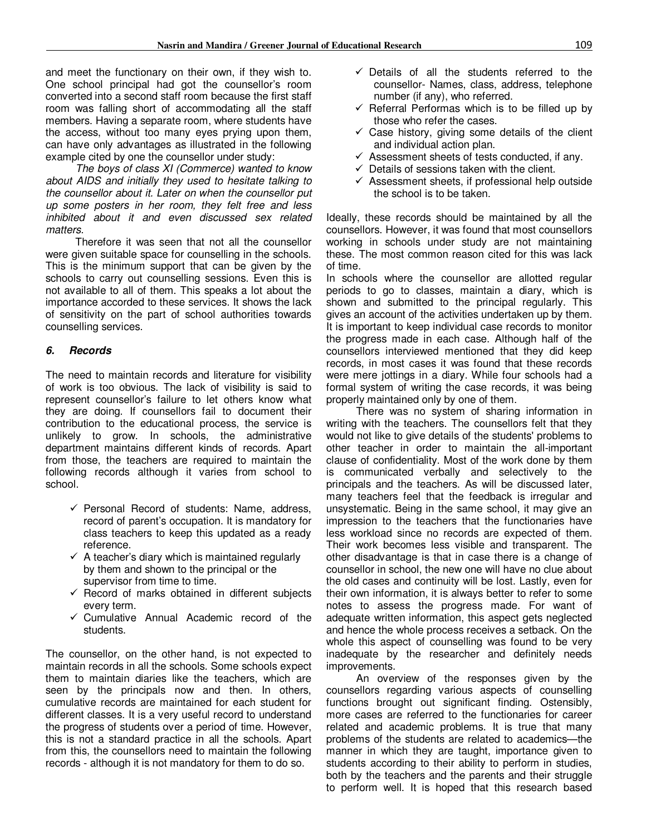and meet the functionary on their own, if they wish to. One school principal had got the counsellor's room converted into a second staff room because the first staff room was falling short of accommodating all the staff members. Having a separate room, where students have the access, without too many eyes prying upon them, can have only advantages as illustrated in the following example cited by one the counsellor under study:

*The boys of class XI (Commerce) wanted to know about AIDS and initially they used to hesitate talking to the counsellor about it. Later on when the counsellor put up some posters in her room, they felt free and less inhibited about it and even discussed sex related matters.* 

Therefore it was seen that not all the counsellor were given suitable space for counselling in the schools. This is the minimum support that can be given by the schools to carry out counselling sessions. Even this is not available to all of them. This speaks a lot about the importance accorded to these services. It shows the lack of sensitivity on the part of school authorities towards counselling services.

#### *6. Records*

The need to maintain records and literature for visibility of work is too obvious. The lack of visibility is said to represent counsellor's failure to let others know what they are doing. If counsellors fail to document their contribution to the educational process, the service is unlikely to grow. In schools, the administrative department maintains different kinds of records. Apart from those, the teachers are required to maintain the following records although it varies from school to school.

- $\checkmark$  Personal Record of students: Name, address, record of parent's occupation. It is mandatory for class teachers to keep this updated as a ready reference.
- $\checkmark$  A teacher's diary which is maintained regularly by them and shown to the principal or the supervisor from time to time.
- $\checkmark$  Record of marks obtained in different subjects every term.
- $\checkmark$  Cumulative Annual Academic record of the students.

The counsellor, on the other hand, is not expected to maintain records in all the schools. Some schools expect them to maintain diaries like the teachers, which are seen by the principals now and then. In others, cumulative records are maintained for each student for different classes. It is a very useful record to understand the progress of students over a period of time. However, this is not a standard practice in all the schools. Apart from this, the counsellors need to maintain the following records - although it is not mandatory for them to do so.

- $\checkmark$  Details of all the students referred to the counsellor- Names, class, address, telephone number (if any), who referred.
- $\checkmark$  Referral Performas which is to be filled up by those who refer the cases.
- $\checkmark$  Case history, giving some details of the client and individual action plan.
- $\checkmark$  Assessment sheets of tests conducted, if any.
- $\checkmark$  Details of sessions taken with the client.
- $\checkmark$  Assessment sheets, if professional help outside the school is to be taken.

Ideally, these records should be maintained by all the counsellors. However, it was found that most counsellors working in schools under study are not maintaining these. The most common reason cited for this was lack of time.

In schools where the counsellor are allotted regular periods to go to classes, maintain a diary, which is shown and submitted to the principal regularly. This gives an account of the activities undertaken up by them. It is important to keep individual case records to monitor the progress made in each case. Although half of the counsellors interviewed mentioned that they did keep records, in most cases it was found that these records were mere jottings in a diary. While four schools had a formal system of writing the case records, it was being properly maintained only by one of them.

There was no system of sharing information in writing with the teachers. The counsellors felt that they would not like to give details of the students' problems to other teacher in order to maintain the all-important clause of confidentiality. Most of the work done by them is communicated verbally and selectively to the principals and the teachers. As will be discussed later, many teachers feel that the feedback is irregular and unsystematic. Being in the same school, it may give an impression to the teachers that the functionaries have less workload since no records are expected of them. Their work becomes less visible and transparent. The other disadvantage is that in case there is a change of counsellor in school, the new one will have no clue about the old cases and continuity will be lost. Lastly, even for their own information, it is always better to refer to some notes to assess the progress made. For want of adequate written information, this aspect gets neglected and hence the whole process receives a setback. On the whole this aspect of counselling was found to be very inadequate by the researcher and definitely needs improvements.

An overview of the responses given by the counsellors regarding various aspects of counselling functions brought out significant finding. Ostensibly, more cases are referred to the functionaries for career related and academic problems. It is true that many problems of the students are related to academics—the manner in which they are taught, importance given to students according to their ability to perform in studies, both by the teachers and the parents and their struggle to perform well. It is hoped that this research based